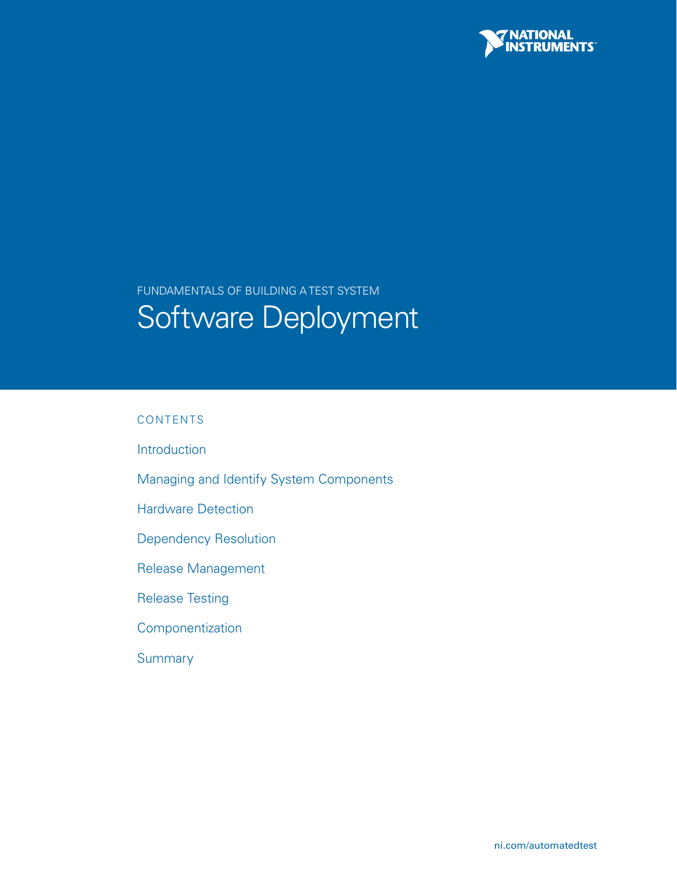

# Fundamentals of Building a Test System Software Deployment

## CONTENTS

[Introduction](#page-1-0)

- [Managing and Identify System Components](#page-2-0)
- [Hardware Detection](#page-5-0)
- [Dependency Resolution](#page-7-0)
- [Release Management](#page-8-0)
- [Release Testing](#page-10-0)
- [Componentization](#page-12-0)
- **[Summary](#page-18-0)**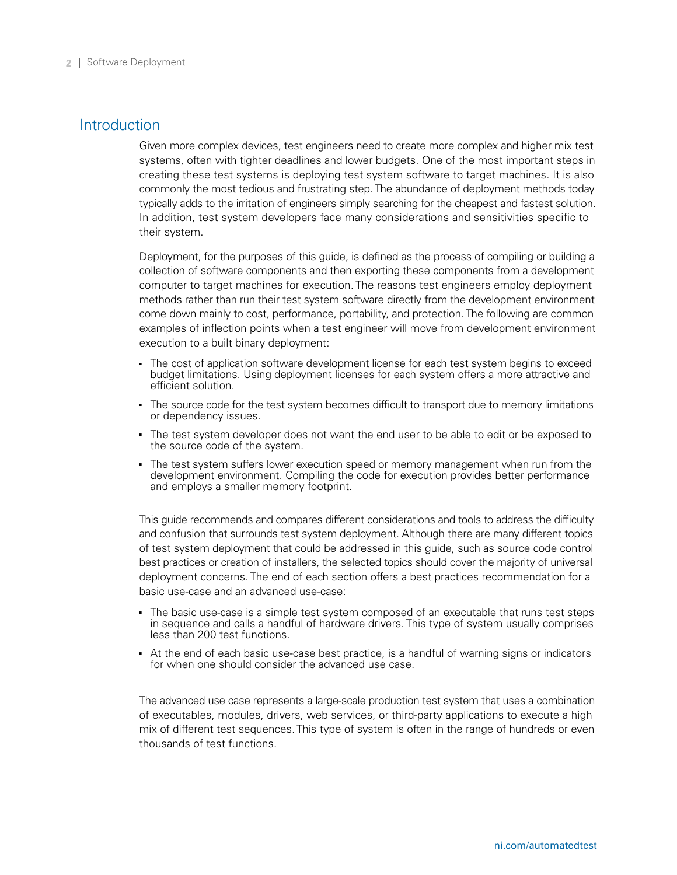## <span id="page-1-0"></span>**Introduction**

Given more complex devices, test engineers need to create more complex and higher mix test systems, often with tighter deadlines and lower budgets. One of the most important steps in creating these test systems is deploying test system software to target machines. It is also commonly the most tedious and frustrating step. The abundance of deployment methods today typically adds to the irritation of engineers simply searching for the cheapest and fastest solution. In addition, test system developers face many considerations and sensitivities specific to their system.

Deployment, for the purposes of this guide, is defined as the process of compiling or building a collection of software components and then exporting these components from a development computer to target machines for execution. The reasons test engineers employ deployment methods rather than run their test system software directly from the development environment come down mainly to cost, performance, portability, and protection. The following are common examples of inflection points when a test engineer will move from development environment execution to a built binary deployment:

- The cost of application software development license for each test system begins to exceed budget limitations. Using deployment licenses for each system offers a more attractive and efficient solution.
- The source code for the test system becomes difficult to transport due to memory limitations or dependency issues.
- The test system developer does not want the end user to be able to edit or be exposed to the source code of the system.
- The test system suffers lower execution speed or memory management when run from the development environment. Compiling the code for execution provides better performance and employs a smaller memory footprint.

This guide recommends and compares different considerations and tools to address the difficulty and confusion that surrounds test system deployment. Although there are many different topics of test system deployment that could be addressed in this guide, such as source code control best practices or creation of installers, the selected topics should cover the majority of universal deployment concerns. The end of each section offers a best practices recommendation for a basic use-case and an advanced use-case:

- The basic use-case is a simple test system composed of an executable that runs test steps in sequence and calls a handful of hardware drivers. This type of system usually comprises less than 200 test functions.
- At the end of each basic use-case best practice, is a handful of warning signs or indicators for when one should consider the advanced use case.

The advanced use case represents a large-scale production test system that uses a combination of executables, modules, drivers, web services, or third-party applications to execute a high mix of different test sequences. This type of system is often in the range of hundreds or even thousands of test functions.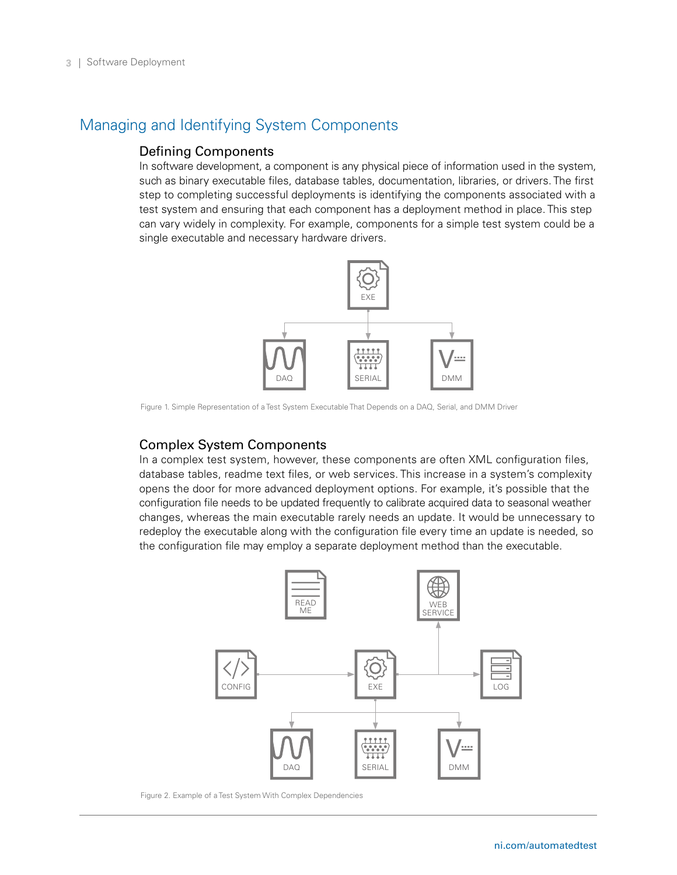# <span id="page-2-0"></span>Managing and Identifying System Components

### Defining Components

In software development, a component is any physical piece of information used in the system, such as binary executable files, database tables, documentation, libraries, or drivers. The first step to completing successful deployments is identifying the components associated with a test system and ensuring that each component has a deployment method in place. This step can vary widely in complexity. For example, components for a simple test system could be a single executable and necessary hardware drivers.



Figure 1. Simple Representation of a Test System Executable That Depends on a DAQ, Serial, and DMM Driver

#### Complex System Components

In a complex test system, however, these components are often XML configuration files, database tables, readme text files, or web services. This increase in a system's complexity opens the door for more advanced deployment options. For example, it's possible that the configuration file needs to be updated frequently to calibrate acquired data to seasonal weather changes, whereas the main executable rarely needs an update. It would be unnecessary to redeploy the executable along with the configuration file every time an update is needed, so the configuration file may employ a separate deployment method than the executable.



Figure 2. Example of a Test System With Complex Dependencies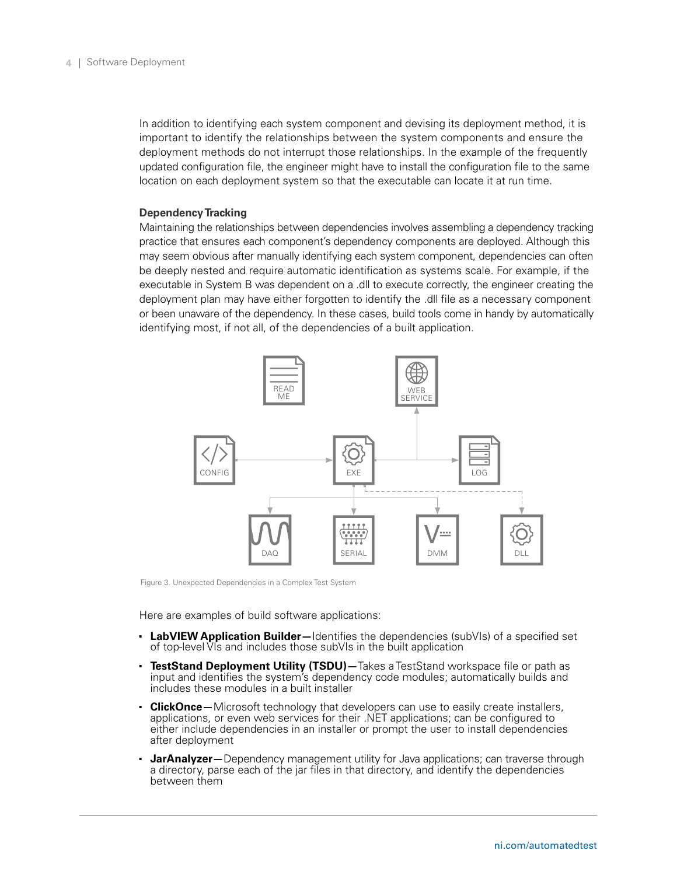In addition to identifying each system component and devising its deployment method, it is important to identify the relationships between the system components and ensure the deployment methods do not interrupt those relationships. In the example of the frequently updated configuration file, the engineer might have to install the configuration file to the same location on each deployment system so that the executable can locate it at run time.

#### **Dependency Tracking**

Maintaining the relationships between dependencies involves assembling a dependency tracking practice that ensures each component's dependency components are deployed. Although this may seem obvious after manually identifying each system component, dependencies can often be deeply nested and require automatic identification as systems scale. For example, if the executable in System B was dependent on a .dll to execute correctly, the engineer creating the deployment plan may have either forgotten to identify the .dll file as a necessary component or been unaware of the dependency. In these cases, build tools come in handy by automatically identifying most, if not all, of the dependencies of a built application.



Figure 3. Unexpected Dependencies in a Complex Test System

Here are examples of build software applications:

- **LabVIEW Application Builder**—Identifies the dependencies (subVIs) of a specified set of top-level VIs and includes those subVIs in the built application
- **TestStand Deployment Utility (TSDU)**—Takes a TestStand workspace file or path as input and identifies the system's dependency code modules; automatically builds and includes these modules in a built installer
- **ClickOnce**—Microsoft technology that developers can use to easily create installers, applications, or even web services for their .NET applications; can be configured to either include dependencies in an installer or prompt the user to install dependencies after deployment
- **JarAnalyzer**—Dependency management utility for Java applications; can traverse through a directory, parse each of the jar files in that directory, and identify the dependencies between them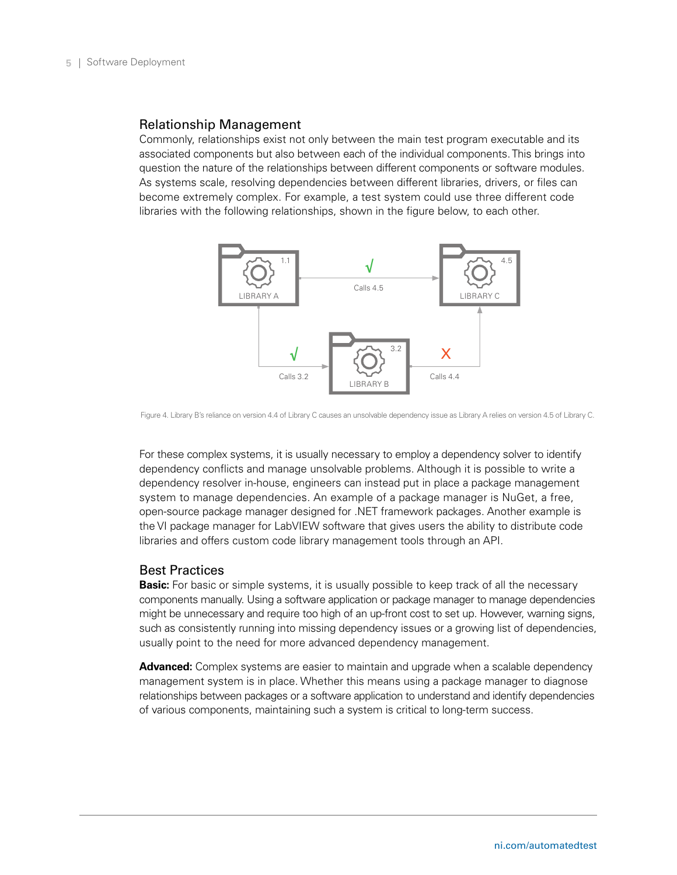#### Relationship Management

Commonly, relationships exist not only between the main test program executable and its associated components but also between each of the individual components. This brings into question the nature of the relationships between different components or software modules. As systems scale, resolving dependencies between different libraries, drivers, or files can become extremely complex. For example, a test system could use three different code libraries with the following relationships, shown in the figure below, to each other.



Figure 4. Library B's reliance on version 4.4 of Library C causes an unsolvable dependency issue as Library A relies on version 4.5 of Library C.

For these complex systems, it is usually necessary to employ a dependency solver to identify dependency conflicts and manage unsolvable problems. Although it is possible to write a dependency resolver in-house, engineers can instead put in place a package management system to manage dependencies. An example of a package manager is NuGet, a free, open-source package manager designed for .NET framework packages. Another example is the VI package manager for LabVIEW software that gives users the ability to distribute code libraries and offers custom code library management tools through an API.

#### Best Practices

**Basic:** For basic or simple systems, it is usually possible to keep track of all the necessary components manually. Using a software application or package manager to manage dependencies might be unnecessary and require too high of an up-front cost to set up. However, warning signs, such as consistently running into missing dependency issues or a growing list of dependencies, usually point to the need for more advanced dependency management.

Advanced: Complex systems are easier to maintain and upgrade when a scalable dependency management system is in place. Whether this means using a package manager to diagnose relationships between packages or a software application to understand and identify dependencies of various components, maintaining such a system is critical to long-term success.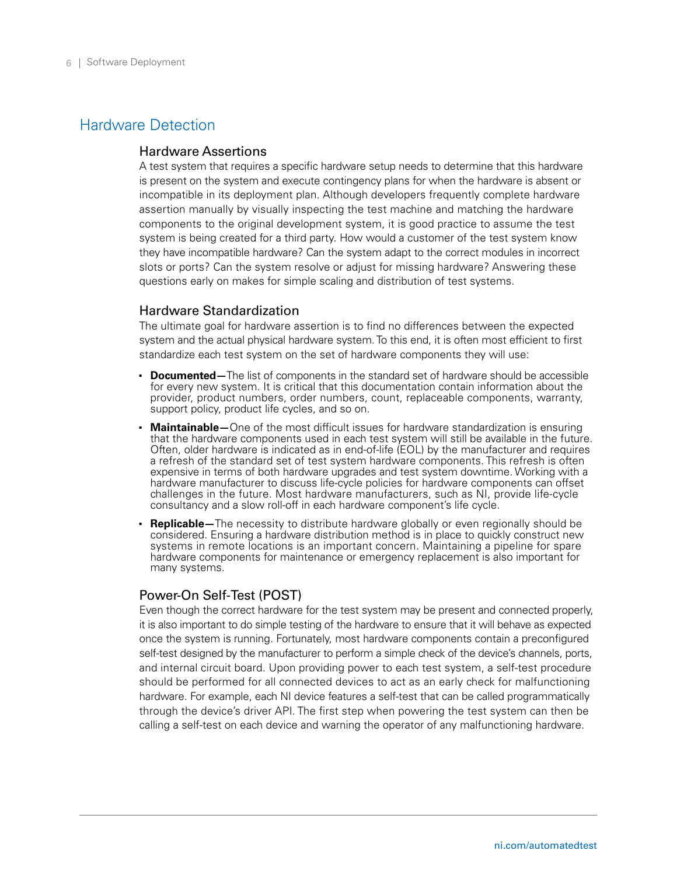# <span id="page-5-0"></span>Hardware Detection

#### Hardware Assertions

A test system that requires a specific hardware setup needs to determine that this hardware is present on the system and execute contingency plans for when the hardware is absent or incompatible in its deployment plan. Although developers frequently complete hardware assertion manually by visually inspecting the test machine and matching the hardware components to the original development system, it is good practice to assume the test system is being created for a third party. How would a customer of the test system know they have incompatible hardware? Can the system adapt to the correct modules in incorrect slots or ports? Can the system resolve or adjust for missing hardware? Answering these questions early on makes for simple scaling and distribution of test systems.

#### Hardware Standardization

The ultimate goal for hardware assertion is to find no differences between the expected system and the actual physical hardware system. To this end, it is often most efficient to first standardize each test system on the set of hardware components they will use:

- **Documented**—The list of components in the standard set of hardware should be accessible for every new system. It is critical that this documentation contain information about the provider, product numbers, order numbers, count, replaceable components, warranty, support policy, product life cycles, and so on.
- **Maintainable**—One of the most difficult issues for hardware standardization is ensuring that the hardware components used in each test system will still be available in the future. Often, older hardware is indicated as in end-of-life (EOL) by the manufacturer and requires a refresh of the standard set of test system hardware components. This refresh is often expensive in terms of both hardware upgrades and test system downtime. Working with a hardware manufacturer to discuss life-cycle policies for hardware components can offset challenges in the future. Most hardware manufacturers, such as NI, provide life-cycle consultancy and a slow roll-off in each hardware component's life cycle.
- **Replicable**—The necessity to distribute hardware globally or even regionally should be considered. Ensuring a hardware distribution method is in place to quickly construct new systems in remote locations is an important concern. Maintaining a pipeline for spare hardware components for maintenance or emergency replacement is also important for many systems.

#### Power-On Self-Test (POST)

Even though the correct hardware for the test system may be present and connected properly, it is also important to do simple testing of the hardware to ensure that it will behave as expected once the system is running. Fortunately, most hardware components contain a preconfigured self-test designed by the manufacturer to perform a simple check of the device's channels, ports, and internal circuit board. Upon providing power to each test system, a self-test procedure should be performed for all connected devices to act as an early check for malfunctioning hardware. For example, each NI device features a self-test that can be called programmatically through the device's driver API. The first step when powering the test system can then be calling a self-test on each device and warning the operator of any malfunctioning hardware.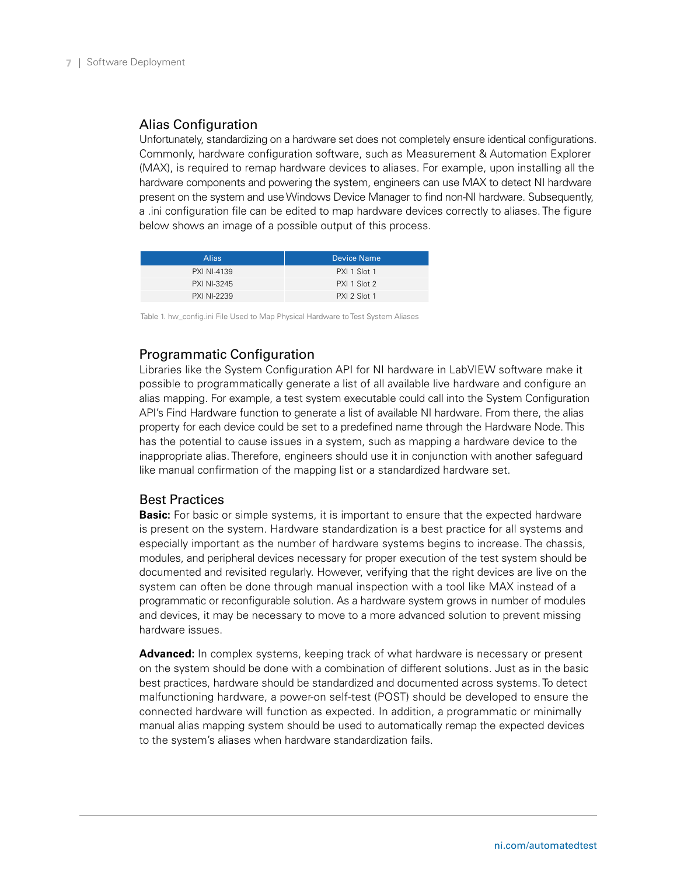## Alias Configuration

Unfortunately, standardizing on a hardware set does not completely ensure identical configurations. Commonly, hardware configuration software, such as Measurement & Automation Explorer (MAX), is required to remap hardware devices to aliases. For example, upon installing all the hardware components and powering the system, engineers can use MAX to detect NI hardware present on the system and use Windows Device Manager to find non-NI hardware. Subsequently, a .ini configuration file can be edited to map hardware devices correctly to aliases. The figure below shows an image of a possible output of this process.

| <b>Alias</b>       | <b>Device Name</b> |
|--------------------|--------------------|
| <b>PXI NI-4139</b> | PXI 1 Slot 1       |
| <b>PXI NI-3245</b> | PXI 1 Slot 2       |
| <b>PXI NI-2239</b> | PXI 2 Slot 1       |

Table 1. hw\_config.ini File Used to Map Physical Hardware to Test System Aliases

# Programmatic Configuration

Libraries like the System Configuration API for NI hardware in LabVIEW software make it possible to programmatically generate a list of all available live hardware and configure an alias mapping. For example, a test system executable could call into the System Configuration API's Find Hardware function to generate a list of available NI hardware. From there, the alias property for each device could be set to a predefined name through the Hardware Node. This has the potential to cause issues in a system, such as mapping a hardware device to the inappropriate alias. Therefore, engineers should use it in conjunction with another safeguard like manual confirmation of the mapping list or a standardized hardware set.

#### Best Practices

**Basic:** For basic or simple systems, it is important to ensure that the expected hardware is present on the system. Hardware standardization is a best practice for all systems and especially important as the number of hardware systems begins to increase. The chassis, modules, and peripheral devices necessary for proper execution of the test system should be documented and revisited regularly. However, verifying that the right devices are live on the system can often be done through manual inspection with a tool like MAX instead of a programmatic or reconfigurable solution. As a hardware system grows in number of modules and devices, it may be necessary to move to a more advanced solution to prevent missing hardware issues.

**Advanced:** In complex systems, keeping track of what hardware is necessary or present on the system should be done with a combination of different solutions. Just as in the basic best practices, hardware should be standardized and documented across systems. To detect malfunctioning hardware, a power-on self-test (POST) should be developed to ensure the connected hardware will function as expected. In addition, a programmatic or minimally manual alias mapping system should be used to automatically remap the expected devices to the system's aliases when hardware standardization fails.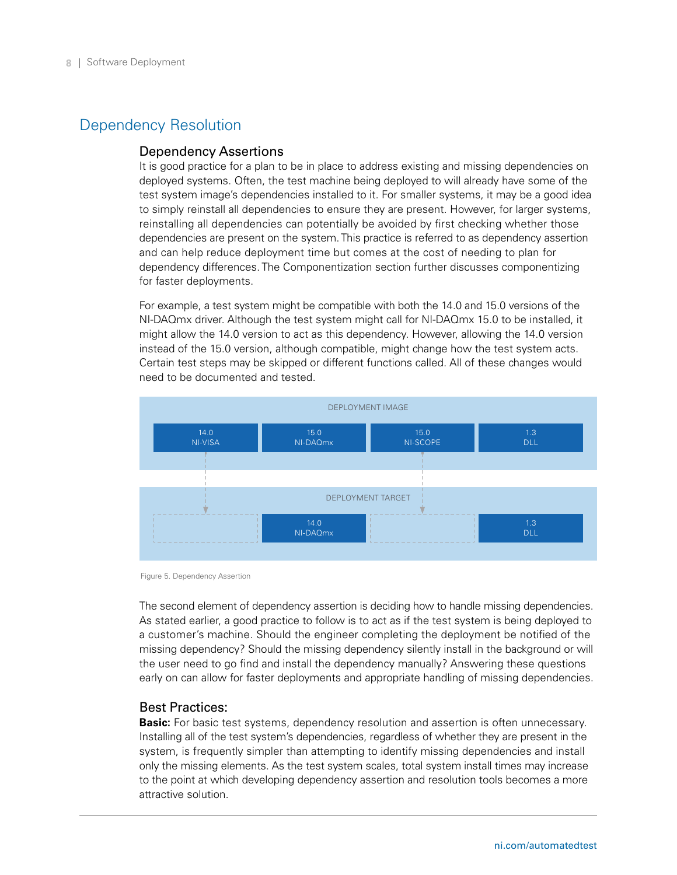# <span id="page-7-0"></span>Dependency Resolution

#### Dependency Assertions

It is good practice for a plan to be in place to address existing and missing dependencies on deployed systems. Often, the test machine being deployed to will already have some of the test system image's dependencies installed to it. For smaller systems, it may be a good idea to simply reinstall all dependencies to ensure they are present. However, for larger systems, reinstalling all dependencies can potentially be avoided by first checking whether those dependencies are present on the system. This practice is referred to as dependency assertion and can help reduce deployment time but comes at the cost of needing to plan for dependency differences. The Componentization section further discusses componentizing for faster deployments.

For example, a test system might be compatible with both the 14.0 and 15.0 versions of the NI-DAQmx driver. Although the test system might call for NI-DAQmx 15.0 to be installed, it might allow the 14.0 version to act as this dependency. However, allowing the 14.0 version instead of the 15.0 version, although compatible, might change how the test system acts. Certain test steps may be skipped or different functions called. All of these changes would need to be documented and tested.



Figure 5. Dependency Assertion

The second element of dependency assertion is deciding how to handle missing dependencies. As stated earlier, a good practice to follow is to act as if the test system is being deployed to a customer's machine. Should the engineer completing the deployment be notified of the missing dependency? Should the missing dependency silently install in the background or will the user need to go find and install the dependency manually? Answering these questions early on can allow for faster deployments and appropriate handling of missing dependencies.

#### Best Practices:

**Basic:** For basic test systems, dependency resolution and assertion is often unnecessary. Installing all of the test system's dependencies, regardless of whether they are present in the system, is frequently simpler than attempting to identify missing dependencies and install only the missing elements. As the test system scales, total system install times may increase to the point at which developing dependency assertion and resolution tools becomes a more attractive solution.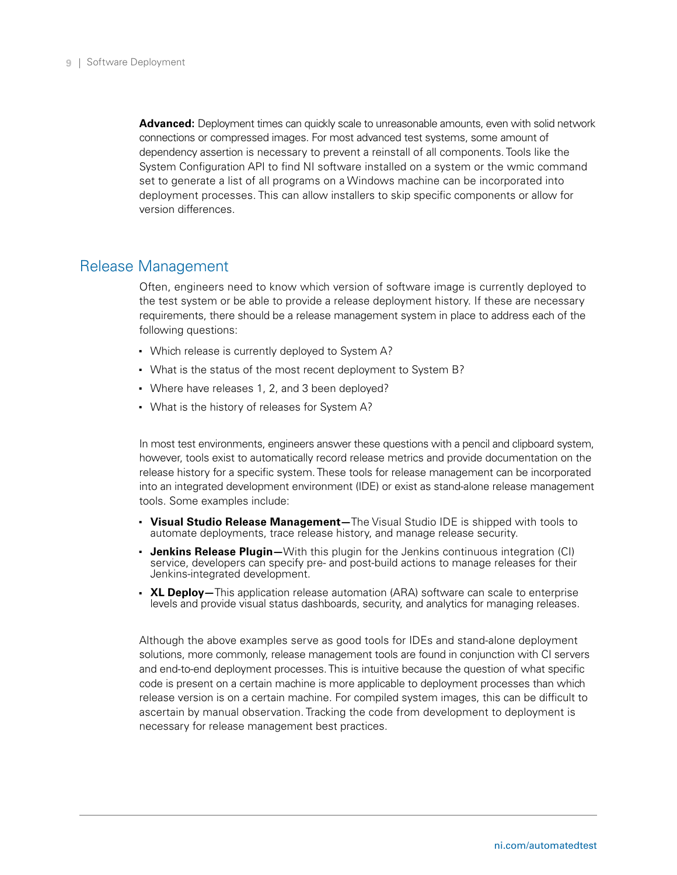<span id="page-8-0"></span>**Advanced:** Deployment times can quickly scale to unreasonable amounts, even with solid network connections or compressed images. For most advanced test systems, some amount of dependency assertion is necessary to prevent a reinstall of all components. Tools like the System Configuration API to find NI software installed on a system or the wmic command set to generate a list of all programs on a Windows machine can be incorporated into deployment processes. This can allow installers to skip specific components or allow for version differences.

# Release Management

Often, engineers need to know which version of software image is currently deployed to the test system or be able to provide a release deployment history. If these are necessary requirements, there should be a release management system in place to address each of the following questions:

- Which release is currently deployed to System A?
- What is the status of the most recent deployment to System B?
- Where have releases 1, 2, and 3 been deployed?
- What is the history of releases for System A?

In most test environments, engineers answer these questions with a pencil and clipboard system, however, tools exist to automatically record release metrics and provide documentation on the release history for a specific system. These tools for release management can be incorporated into an integrated development environment (IDE) or exist as stand-alone release management tools. Some examples include:

- **Visual Studio Release Management—**The Visual Studio IDE is shipped with tools to automate deployments, trace release history, and manage release security.
- **Jenkins Release Plugin**—With this plugin for the Jenkins continuous integration (CI) service, developers can specify pre- and post-build actions to manage releases for their Jenkins-integrated development.
- **XL Deploy**—This application release automation (ARA) software can scale to enterprise levels and provide visual status dashboards, security, and analytics for managing releases.

Although the above examples serve as good tools for IDEs and stand-alone deployment solutions, more commonly, release management tools are found in conjunction with CI servers and end-to-end deployment processes. This is intuitive because the question of what specific code is present on a certain machine is more applicable to deployment processes than which release version is on a certain machine. For compiled system images, this can be difficult to ascertain by manual observation. Tracking the code from development to deployment is necessary for release management best practices.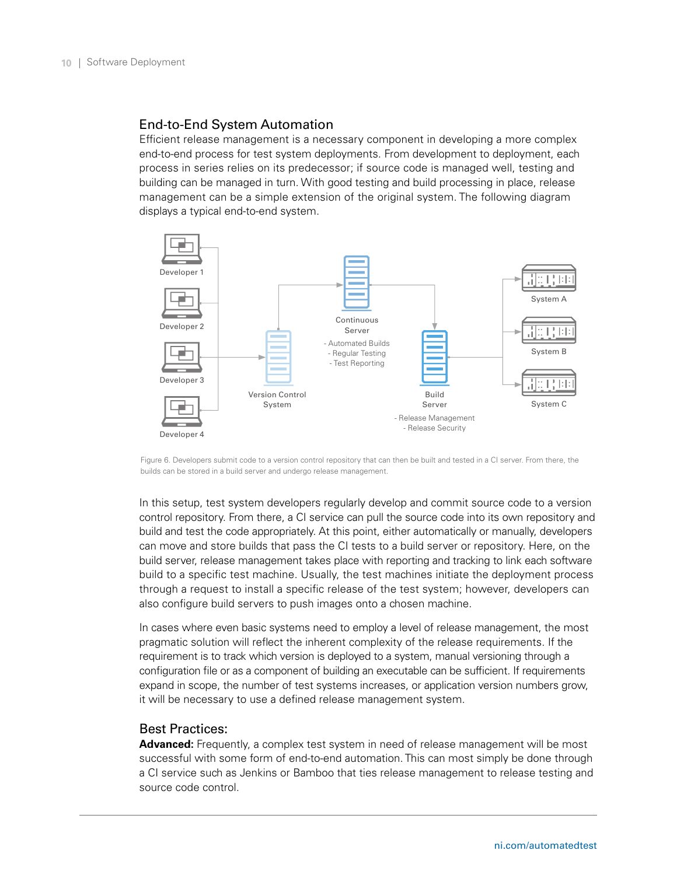#### End-to-End System Automation

Efficient release management is a necessary component in developing a more complex end-to-end process for test system deployments. From development to deployment, each process in series relies on its predecessor; if source code is managed well, testing and building can be managed in turn. With good testing and build processing in place, release management can be a simple extension of the original system. The following diagram displays a typical end-to-end system.



Figure 6. Developers submit code to a version control repository that can then be built and tested in a CI server. From there, the builds can be stored in a build server and undergo release management.

In this setup, test system developers regularly develop and commit source code to a version control repository. From there, a CI service can pull the source code into its own repository and build and test the code appropriately. At this point, either automatically or manually, developers can move and store builds that pass the CI tests to a build server or repository. Here, on the build server, release management takes place with reporting and tracking to link each software build to a specific test machine. Usually, the test machines initiate the deployment process through a request to install a specific release of the test system; however, developers can also configure build servers to push images onto a chosen machine.

In cases where even basic systems need to employ a level of release management, the most pragmatic solution will reflect the inherent complexity of the release requirements. If the requirement is to track which version is deployed to a system, manual versioning through a configuration file or as a component of building an executable can be sufficient. If requirements expand in scope, the number of test systems increases, or application version numbers grow, it will be necessary to use a defined release management system.

### Best Practices:

**Advanced:** Frequently, a complex test system in need of release management will be most successful with some form of end-to-end automation. This can most simply be done through a CI service such as Jenkins or Bamboo that ties release management to release testing and source code control.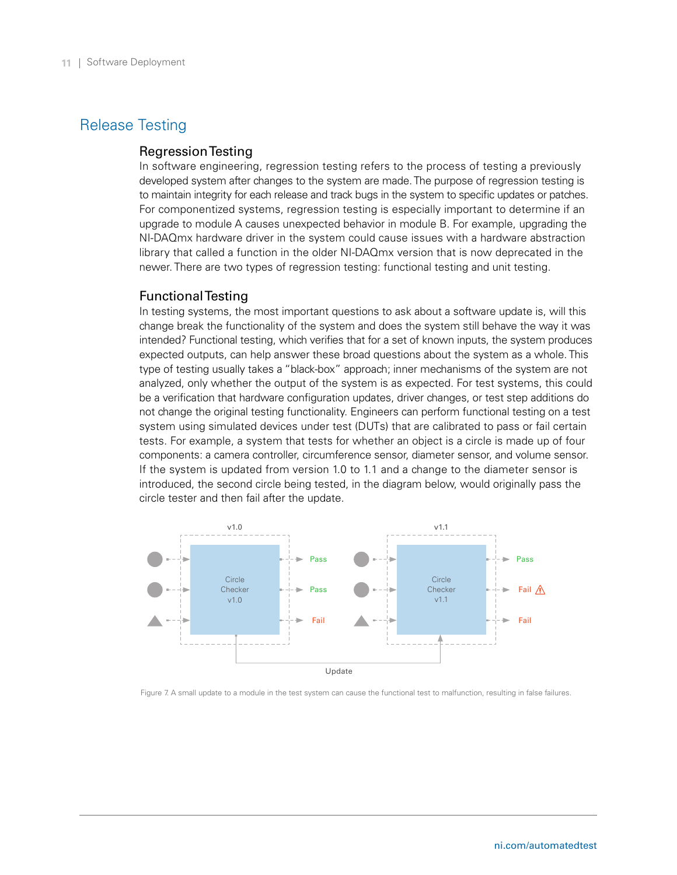# <span id="page-10-0"></span>Release Testing

#### Regression Testing

In software engineering, regression testing refers to the process of testing a previously developed system after changes to the system are made. The purpose of regression testing is to maintain integrity for each release and track bugs in the system to specific updates or patches. For componentized systems, regression testing is especially important to determine if an upgrade to module A causes unexpected behavior in module B. For example, upgrading the NI-DAQmx hardware driver in the system could cause issues with a hardware abstraction library that called a function in the older NI-DAQmx version that is now deprecated in the newer. There are two types of regression testing: functional testing and unit testing.

#### Functional Testing

In testing systems, the most important questions to ask about a software update is, will this change break the functionality of the system and does the system still behave the way it was intended? Functional testing, which verifies that for a set of known inputs, the system produces expected outputs, can help answer these broad questions about the system as a whole. This type of testing usually takes a "black-box" approach; inner mechanisms of the system are not analyzed, only whether the output of the system is as expected. For test systems, this could be a verification that hardware configuration updates, driver changes, or test step additions do not change the original testing functionality. Engineers can perform functional testing on a test system using simulated devices under test (DUTs) that are calibrated to pass or fail certain tests. For example, a system that tests for whether an object is a circle is made up of four components: a camera controller, circumference sensor, diameter sensor, and volume sensor. If the system is updated from version 1.0 to 1.1 and a change to the diameter sensor is introduced, the second circle being tested, in the diagram below, would originally pass the circle tester and then fail after the update.



Figure 7. A small update to a module in the test system can cause the functional test to malfunction, resulting in false failures.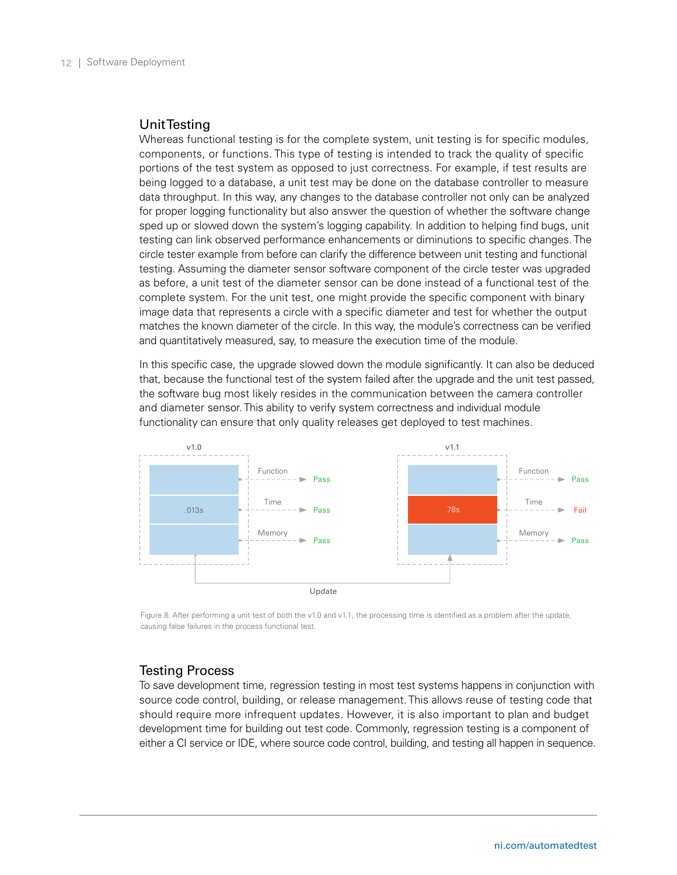#### Unit Testing

Whereas functional testing is for the complete system, unit testing is for specific modules, components, or functions. This type of testing is intended to track the quality of specific portions of the test system as opposed to just correctness. For example, if test results are being logged to a database, a unit test may be done on the database controller to measure data throughput. In this way, any changes to the database controller not only can be analyzed for proper logging functionality but also answer the question of whether the software change sped up or slowed down the system's logging capability. In addition to helping find bugs, unit testing can link observed performance enhancements or diminutions to specific changes. The circle tester example from before can clarify the difference between unit testing and functional testing. Assuming the diameter sensor software component of the circle tester was upgraded as before, a unit test of the diameter sensor can be done instead of a functional test of the complete system. For the unit test, one might provide the specific component with binary image data that represents a circle with a specific diameter and test for whether the output matches the known diameter of the circle. In this way, the module's correctness can be verified and quantitatively measured, say, to measure the execution time of the module.

In this specific case, the upgrade slowed down the module significantly. It can also be deduced that, because the functional test of the system failed after the upgrade and the unit test passed, the software bug most likely resides in the communication between the camera controller and diameter sensor. This ability to verify system correctness and individual module functionality can ensure that only quality releases get deployed to test machines.



Figure 8. After performing a unit test of both the v1.0 and v1.1, the processing time is identified as a problem after the update, causing false failures in the process functional test.

#### Testing Process

To save development time, regression testing in most test systems happens in conjunction with source code control, building, or release management. This allows reuse of testing code that should require more infrequent updates. However, it is also important to plan and budget development time for building out test code. Commonly, regression testing is a component of either a CI service or IDE, where source code control, building, and testing all happen in sequence.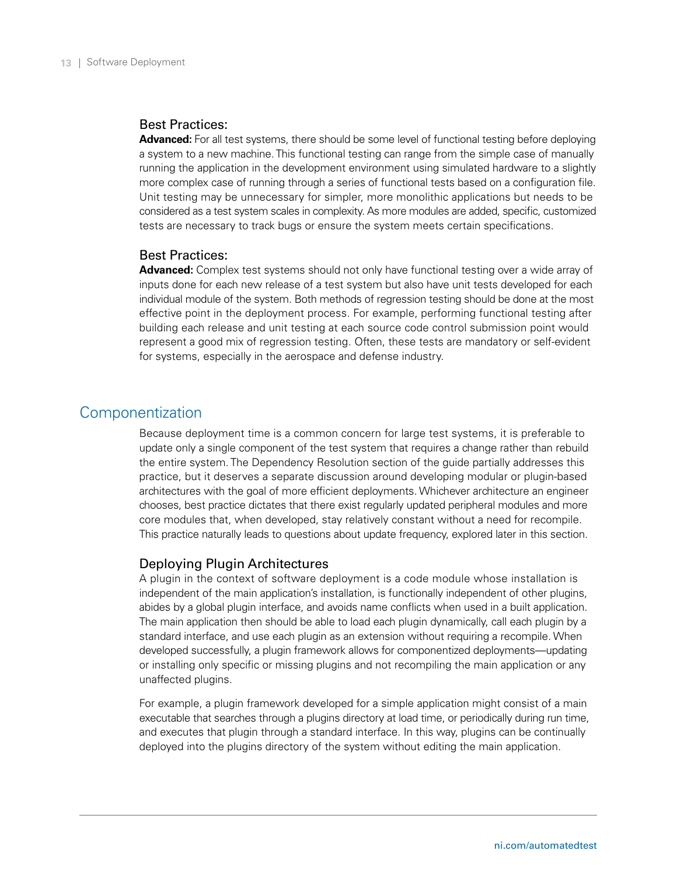#### <span id="page-12-0"></span>Best Practices:

**Advanced:** For all test systems, there should be some level of functional testing before deploying a system to a new machine. This functional testing can range from the simple case of manually running the application in the development environment using simulated hardware to a slightly more complex case of running through a series of functional tests based on a configuration file. Unit testing may be unnecessary for simpler, more monolithic applications but needs to be considered as a test system scales in complexity. As more modules are added, specific, customized tests are necessary to track bugs or ensure the system meets certain specifications.

#### Best Practices:

**Advanced:** Complex test systems should not only have functional testing over a wide array of inputs done for each new release of a test system but also have unit tests developed for each individual module of the system. Both methods of regression testing should be done at the most effective point in the deployment process. For example, performing functional testing after building each release and unit testing at each source code control submission point would represent a good mix of regression testing. Often, these tests are mandatory or self-evident for systems, especially in the aerospace and defense industry.

# Componentization

Because deployment time is a common concern for large test systems, it is preferable to update only a single component of the test system that requires a change rather than rebuild the entire system. The Dependency Resolution section of the guide partially addresses this practice, but it deserves a separate discussion around developing modular or plugin-based architectures with the goal of more efficient deployments. Whichever architecture an engineer chooses, best practice dictates that there exist regularly updated peripheral modules and more core modules that, when developed, stay relatively constant without a need for recompile. This practice naturally leads to questions about update frequency, explored later in this section.

#### Deploying Plugin Architectures

A plugin in the context of software deployment is a code module whose installation is independent of the main application's installation, is functionally independent of other plugins, abides by a global plugin interface, and avoids name conflicts when used in a built application. The main application then should be able to load each plugin dynamically, call each plugin by a standard interface, and use each plugin as an extension without requiring a recompile. When developed successfully, a plugin framework allows for componentized deployments—updating or installing only specific or missing plugins and not recompiling the main application or any unaffected plugins.

For example, a plugin framework developed for a simple application might consist of a main executable that searches through a plugins directory at load time, or periodically during run time, and executes that plugin through a standard interface. In this way, plugins can be continually deployed into the plugins directory of the system without editing the main application.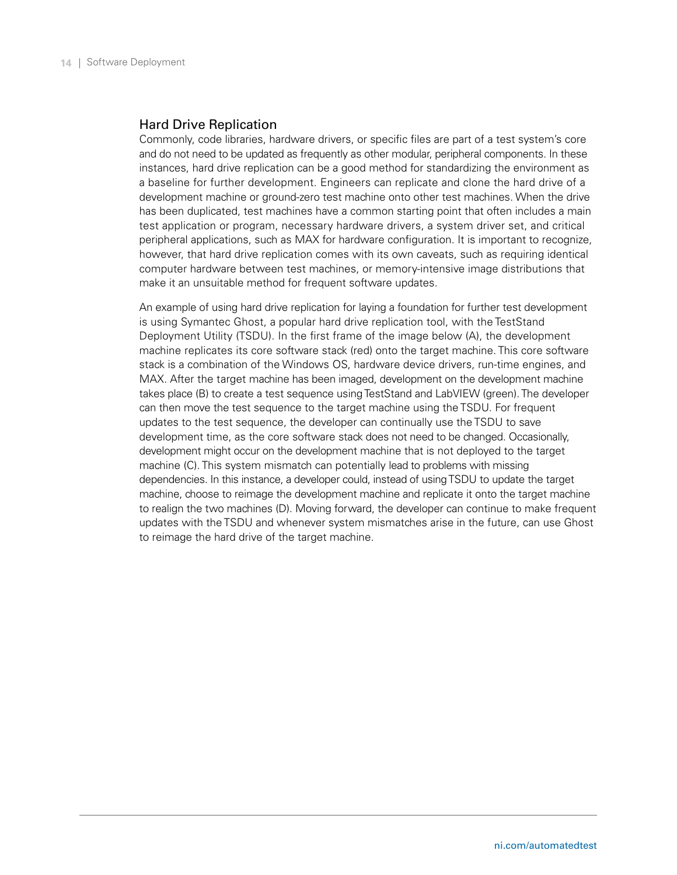#### Hard Drive Replication

Commonly, code libraries, hardware drivers, or specific files are part of a test system's core and do not need to be updated as frequently as other modular, peripheral components. In these instances, hard drive replication can be a good method for standardizing the environment as a baseline for further development. Engineers can replicate and clone the hard drive of a development machine or ground-zero test machine onto other test machines. When the drive has been duplicated, test machines have a common starting point that often includes a main test application or program, necessary hardware drivers, a system driver set, and critical peripheral applications, such as MAX for hardware configuration. It is important to recognize, however, that hard drive replication comes with its own caveats, such as requiring identical computer hardware between test machines, or memory-intensive image distributions that make it an unsuitable method for frequent software updates.

An example of using hard drive replication for laying a foundation for further test development is using Symantec Ghost, a popular hard drive replication tool, with the TestStand Deployment Utility (TSDU). In the first frame of the image below (A), the development machine replicates its core software stack (red) onto the target machine. This core software stack is a combination of the Windows OS, hardware device drivers, run-time engines, and MAX. After the target machine has been imaged, development on the development machine takes place (B) to create a test sequence using TestStand and LabVIEW (green). The developer can then move the test sequence to the target machine using the TSDU. For frequent updates to the test sequence, the developer can continually use the TSDU to save development time, as the core software stack does not need to be changed. Occasionally, development might occur on the development machine that is not deployed to the target machine (C). This system mismatch can potentially lead to problems with missing dependencies. In this instance, a developer could, instead of using TSDU to update the target machine, choose to reimage the development machine and replicate it onto the target machine to realign the two machines (D). Moving forward, the developer can continue to make frequent updates with the TSDU and whenever system mismatches arise in the future, can use Ghost to reimage the hard drive of the target machine.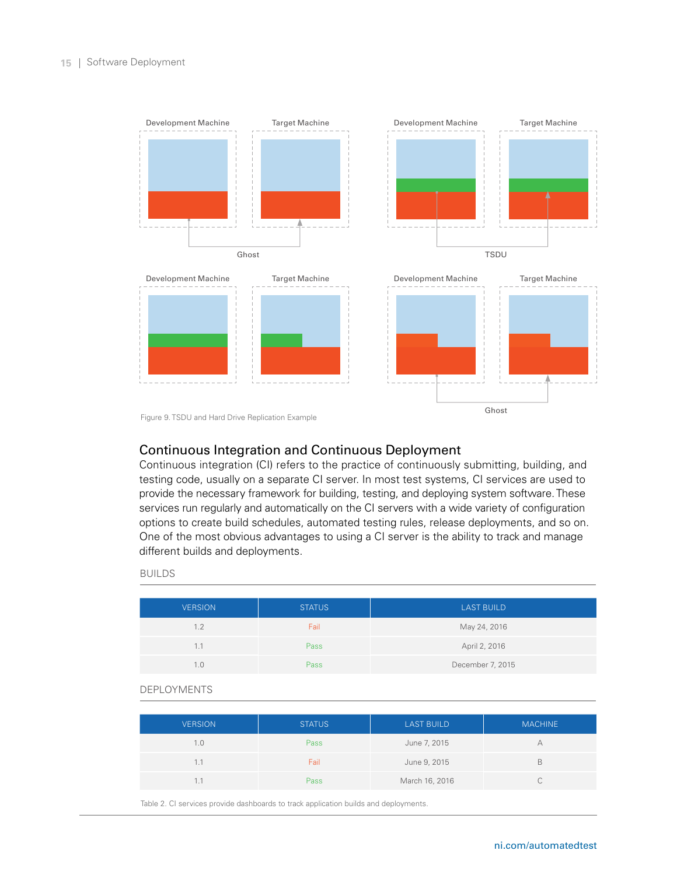

Figure 9. TSDU and Hard Drive Replication Example

## Continuous Integration and Continuous Deployment

Continuous integration (CI) refers to the practice of continuously submitting, building, and testing code, usually on a separate CI server. In most test systems, CI services are used to provide the necessary framework for building, testing, and deploying system software. These services run regularly and automatically on the CI servers with a wide variety of configuration options to create build schedules, automated testing rules, release deployments, and so on. One of the most obvious advantages to using a CI server is the ability to track and manage different builds and deployments.

#### **BUILDS**

| <b>VERSION</b> | <b>STATUS</b> | <b>LAST BUILD</b> |
|----------------|---------------|-------------------|
| 1.2            | Fail          | May 24, 2016      |
| 1.1            | Pass          | April 2, 2016     |
| 1.0            | Pass          | December 7, 2015  |

#### Deployments

| <b>VERSION</b> | <b>STATUS</b> | <b>LAST BUILD</b> | <b>MACHINE</b> |
|----------------|---------------|-------------------|----------------|
| 1.0            | Pass          | June 7, 2015      |                |
| 1.1            | Fail          | June 9, 2015      |                |
|                | Pass          | March 16, 2016    |                |

Table 2. CI services provide dashboards to track application builds and deployments.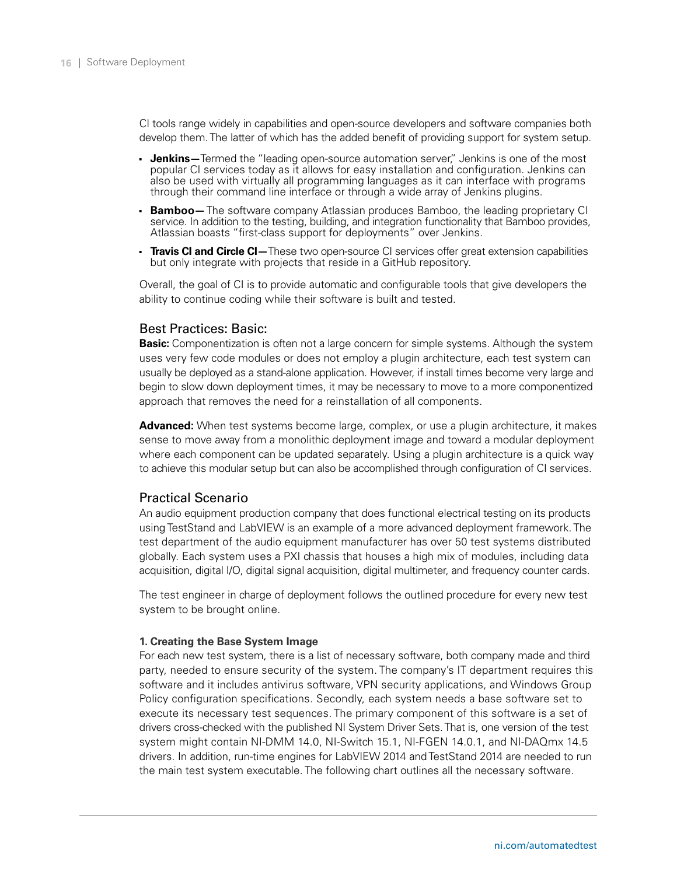CI tools range widely in capabilities and open-source developers and software companies both develop them. The latter of which has the added benefit of providing support for system setup.

- **Jenkins**—Termed the "leading open-source automation server," Jenkins is one of the most popular CI services today as it allows for easy installation and configuration. Jenkins can also be used with virtually all programming languages as it can interface with programs through their command line interface or through a wide array of Jenkins plugins.
- **Bamboo** The software company Atlassian produces Bamboo, the leading proprietary CI service. In addition to the testing, building, and integration functionality that Bamboo provides, Atlassian boasts "first-class support for deployments" over Jenkins.
- **Travis CI and Circle CI**—These two open-source CI services offer great extension capabilities but only integrate with projects that reside in a GitHub repository.

Overall, the goal of CI is to provide automatic and configurable tools that give developers the ability to continue coding while their software is built and tested.

#### Best Practices: Basic:

**Basic:** Componentization is often not a large concern for simple systems. Although the system uses very few code modules or does not employ a plugin architecture, each test system can usually be deployed as a stand-alone application. However, if install times become very large and begin to slow down deployment times, it may be necessary to move to a more componentized approach that removes the need for a reinstallation of all components.

**Advanced:** When test systems become large, complex, or use a plugin architecture, it makes sense to move away from a monolithic deployment image and toward a modular deployment where each component can be updated separately. Using a plugin architecture is a quick way to achieve this modular setup but can also be accomplished through configuration of CI services.

#### Practical Scenario

An audio equipment production company that does functional electrical testing on its products using TestStand and LabVIEW is an example of a more advanced deployment framework. The test department of the audio equipment manufacturer has over 50 test systems distributed globally. Each system uses a PXI chassis that houses a high mix of modules, including data acquisition, digital I/O, digital signal acquisition, digital multimeter, and frequency counter cards.

The test engineer in charge of deployment follows the outlined procedure for every new test system to be brought online.

#### **1. Creating the Base System Image**

For each new test system, there is a list of necessary software, both company made and third party, needed to ensure security of the system. The company's IT department requires this software and it includes antivirus software, VPN security applications, and Windows Group Policy configuration specifications. Secondly, each system needs a base software set to execute its necessary test sequences. The primary component of this software is a set of drivers cross-checked with the published NI System Driver Sets. That is, one version of the test system might contain NI-DMM 14.0, NI-Switch 15.1, NI-FGEN 14.0.1, and NI-DAQmx 14.5 drivers. In addition, run-time engines for LabVIEW 2014 and TestStand 2014 are needed to run the main test system executable. The following chart outlines all the necessary software.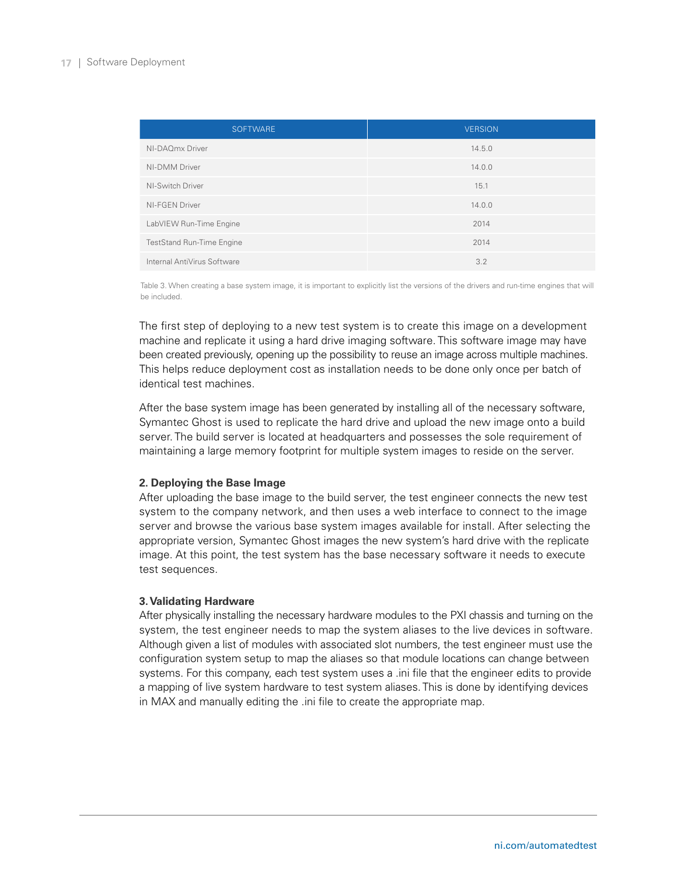| <b>SOFTWARE</b>                  | <b>VERSION</b> |
|----------------------------------|----------------|
| NI-DAQmx Driver                  | 14.5.0         |
| NI-DMM Driver                    | 14.0.0         |
| NI-Switch Driver                 | 15.1           |
| NI-FGEN Driver                   | 14.0.0         |
| LabVIEW Run-Time Engine          | 2014           |
| <b>TestStand Run-Time Engine</b> | 2014           |
| Internal AntiVirus Software      | 3.2            |

Table 3. When creating a base system image, it is important to explicitly list the versions of the drivers and run-time engines that will be included.

The first step of deploying to a new test system is to create this image on a development machine and replicate it using a hard drive imaging software. This software image may have been created previously, opening up the possibility to reuse an image across multiple machines. This helps reduce deployment cost as installation needs to be done only once per batch of identical test machines.

After the base system image has been generated by installing all of the necessary software, Symantec Ghost is used to replicate the hard drive and upload the new image onto a build server. The build server is located at headquarters and possesses the sole requirement of maintaining a large memory footprint for multiple system images to reside on the server.

#### **2. Deploying the Base Image**

After uploading the base image to the build server, the test engineer connects the new test system to the company network, and then uses a web interface to connect to the image server and browse the various base system images available for install. After selecting the appropriate version, Symantec Ghost images the new system's hard drive with the replicate image. At this point, the test system has the base necessary software it needs to execute test sequences.

#### **3. Validating Hardware**

After physically installing the necessary hardware modules to the PXI chassis and turning on the system, the test engineer needs to map the system aliases to the live devices in software. Although given a list of modules with associated slot numbers, the test engineer must use the configuration system setup to map the aliases so that module locations can change between systems. For this company, each test system uses a .ini file that the engineer edits to provide a mapping of live system hardware to test system aliases. This is done by identifying devices in MAX and manually editing the .ini file to create the appropriate map.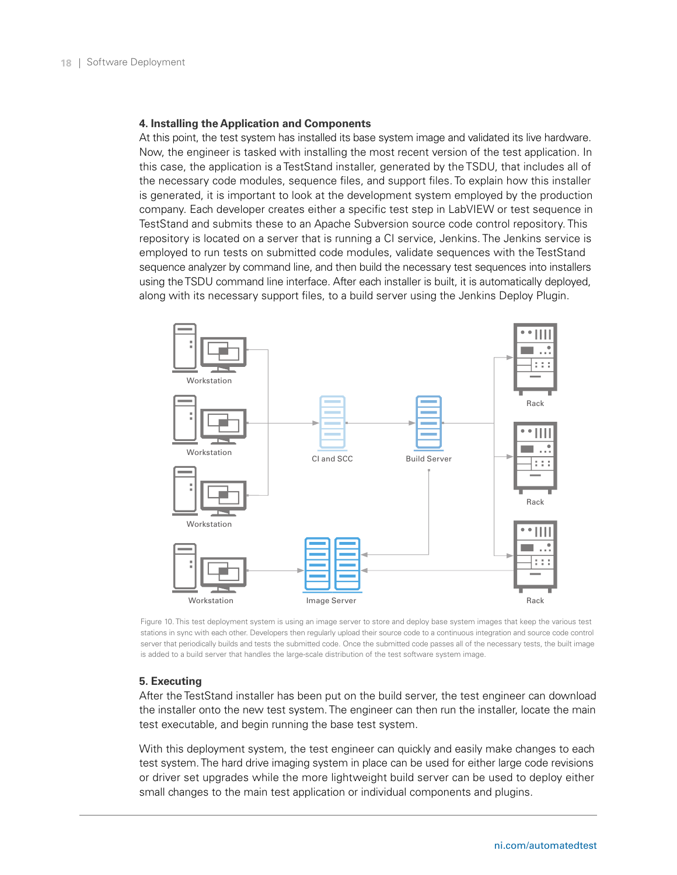#### **4. Installing the Application and Components**

At this point, the test system has installed its base system image and validated its live hardware. Now, the engineer is tasked with installing the most recent version of the test application. In this case, the application is a TestStand installer, generated by the TSDU, that includes all of the necessary code modules, sequence files, and support files. To explain how this installer is generated, it is important to look at the development system employed by the production company. Each developer creates either a specific test step in LabVIEW or test sequence in TestStand and submits these to an Apache Subversion source code control repository. This repository is located on a server that is running a CI service, Jenkins. The Jenkins service is employed to run tests on submitted code modules, validate sequences with the TestStand sequence analyzer by command line, and then build the necessary test sequences into installers using the TSDU command line interface. After each installer is built, it is automatically deployed, along with its necessary support files, to a build server using the Jenkins Deploy Plugin.



Figure 10. This test deployment system is using an image server to store and deploy base system images that keep the various test stations in sync with each other. Developers then regularly upload their source code to a continuous integration and source code control server that periodically builds and tests the submitted code. Once the submitted code passes all of the necessary tests, the built image is added to a build server that handles the large-scale distribution of the test software system image.

#### **5. Executing**

After the TestStand installer has been put on the build server, the test engineer can download the installer onto the new test system. The engineer can then run the installer, locate the main test executable, and begin running the base test system.

With this deployment system, the test engineer can quickly and easily make changes to each test system. The hard drive imaging system in place can be used for either large code revisions or driver set upgrades while the more lightweight build server can be used to deploy either small changes to the main test application or individual components and plugins.